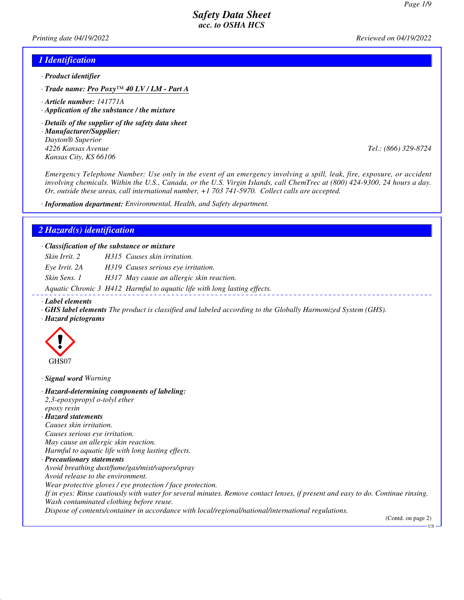*Printing date 04/19/2022 Reviewed on 04/19/2022*

### *1 Identification*

- *· Product identifier*
- *· Trade name: Pro Poxy™ 40 LV / LM Part A*
- *· Article number: 141771A*
- *· Application of the substance / the mixture*
- *· Details of the supplier of the safety data sheet*
- *· Manufacturer/Supplier: Dayton® Superior 4226 Kansas Avenue Tel.: (866) 329-8724 Kansas City, KS 66106*

*Emergency Telephone Number: Use only in the event of an emergency involving a spill, leak, fire, exposure, or accident involving chemicals. Within the U.S., Canada, or the U.S. Virgin Islands, call ChemTrec at (800) 424-9300, 24 hours a day. Or, outside these areas, call international number, +1 703 741-5970. Collect calls are accepted.*

*· Information department: Environmental, Health, and Safety department.*

### *2 Hazard(s) identification*

*· Classification of the substance or mixture*

*Skin Irrit. 2 H315 Causes skin irritation.*

*Eye Irrit. 2A H319 Causes serious eye irritation.*

*Skin Sens. 1 H317 May cause an allergic skin reaction.*

*Aquatic Chronic 3 H412 Harmful to aquatic life with long lasting effects.*

*· Label elements*

- *· GHS label elements The product is classified and labeled according to the Globally Harmonized System (GHS).*
- *· Hazard pictograms*



*· Signal word Warning*

*· Hazard-determining components of labeling: 2,3-epoxypropyl o-tolyl ether epoxy resin · Hazard statements Causes skin irritation. Causes serious eye irritation. May cause an allergic skin reaction. Harmful to aquatic life with long lasting effects. · Precautionary statements Avoid breathing dust/fume/gas/mist/vapors/spray Avoid release to the environment. Wear protective gloves / eye protection / face protection. If in eyes: Rinse cautiously with water for several minutes. Remove contact lenses, if present and easy to do. Continue rinsing. Wash contaminated clothing before reuse. Dispose of contents/container in accordance with local/regional/national/international regulations.* (Contd. on page 2)

US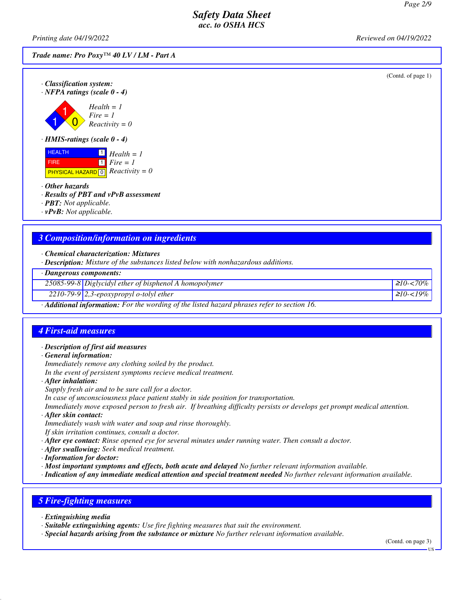*Printing date 04/19/2022 Reviewed on 04/19/2022*

*Trade name: Pro Poxy™ 40 LV / LM - Part A*

(Contd. of page 1)





**HEALTH**  FIRE  $P$ HYSICAL HAZARD<sup>[0]</sup> Reactivity = 0 1 *Health = 1*  $\overline{\mathbf{1}}$ *Fire = 1*

*· Other hazards*

*· Results of PBT and vPvB assessment*

*· PBT: Not applicable.*

*· vPvB: Not applicable.*

### *3 Composition/information on ingredients*

*· Chemical characterization: Mixtures*

*· Description: Mixture of the substances listed below with nonhazardous additions.*

*· Dangerous components:*

*25085-99-8 Diglycidyl ether of bisphenol A homopolymer* <sup>≥</sup>*10-<70%*

*2210-79-9 2,3-epoxypropyl o-tolyl ether* <sup>≥</sup>*10-<19%*

*· Additional information: For the wording of the listed hazard phrases refer to section 16.*

### *4 First-aid measures*

- *· Description of first aid measures*
- *· General information:*

*Immediately remove any clothing soiled by the product.*

*In the event of persistent symptoms recieve medical treatment.*

*· After inhalation:*

*Supply fresh air and to be sure call for a doctor.*

*In case of unconsciousness place patient stably in side position for transportation.*

*Immediately move exposed person to fresh air. If breathing difficulty persists or develops get prompt medical attention.*

*· After skin contact:*

*Immediately wash with water and soap and rinse thoroughly.*

*If skin irritation continues, consult a doctor.*

*· After eye contact: Rinse opened eye for several minutes under running water. Then consult a doctor.*

- *· After swallowing: Seek medical treatment.*
- *· Information for doctor:*
- *· Most important symptoms and effects, both acute and delayed No further relevant information available.*

*· Indication of any immediate medical attention and special treatment needed No further relevant information available.*

# *5 Fire-fighting measures*

*· Extinguishing media*

*· Suitable extinguishing agents: Use fire fighting measures that suit the environment.*

*· Special hazards arising from the substance or mixture No further relevant information available.*

(Contd. on page 3)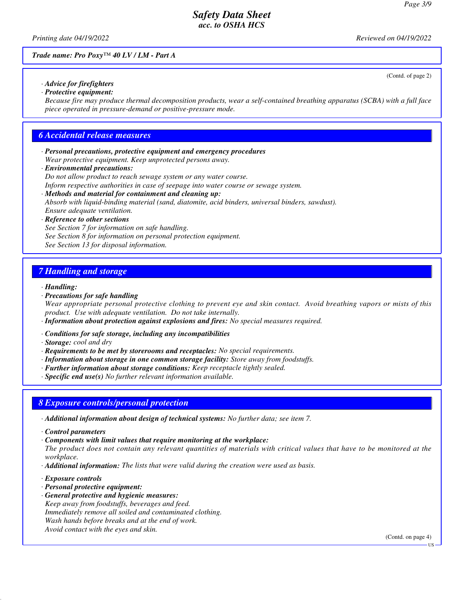*Printing date 04/19/2022 Reviewed on 04/19/2022*

(Contd. of page 2)

*Trade name: Pro Poxy™ 40 LV / LM - Part A*

*· Advice for firefighters · Protective equipment:*

*Because fire may produce thermal decomposition products, wear a self-contained breathing apparatus (SCBA) with a full face piece operated in pressure-demand or positive-pressure mode.*

### *6 Accidental release measures*

- *· Personal precautions, protective equipment and emergency procedures Wear protective equipment. Keep unprotected persons away.*
- *· Environmental precautions:*

*Do not allow product to reach sewage system or any water course.*

*Inform respective authorities in case of seepage into water course or sewage system.*

*· Methods and material for containment and cleaning up: Absorb with liquid-binding material (sand, diatomite, acid binders, universal binders, sawdust). Ensure adequate ventilation.*

#### *· Reference to other sections*

*See Section 7 for information on safe handling. See Section 8 for information on personal protection equipment. See Section 13 for disposal information.*

# *7 Handling and storage*

*· Handling:*

*· Precautions for safe handling*

*Wear appropriate personal protective clothing to prevent eye and skin contact. Avoid breathing vapors or mists of this product. Use with adequate ventilation. Do not take internally.*

- *· Information about protection against explosions and fires: No special measures required.*
- *· Conditions for safe storage, including any incompatibilities*
- *· Storage: cool and dry*
- *· Requirements to be met by storerooms and receptacles: No special requirements.*
- *· Information about storage in one common storage facility: Store away from foodstuffs.*
- *· Further information about storage conditions: Keep receptacle tightly sealed.*
- *· Specific end use(s) No further relevant information available.*

### *8 Exposure controls/personal protection*

- *· Additional information about design of technical systems: No further data; see item 7.*
- *· Control parameters*
- *· Components with limit values that require monitoring at the workplace: The product does not contain any relevant quantities of materials with critical values that have to be monitored at the workplace.*
- *· Additional information: The lists that were valid during the creation were used as basis.*
- *· Exposure controls*
- *· Personal protective equipment:*
- *· General protective and hygienic measures: Keep away from foodstuffs, beverages and feed. Immediately remove all soiled and contaminated clothing. Wash hands before breaks and at the end of work. Avoid contact with the eyes and skin.*

(Contd. on page 4)

**TIS**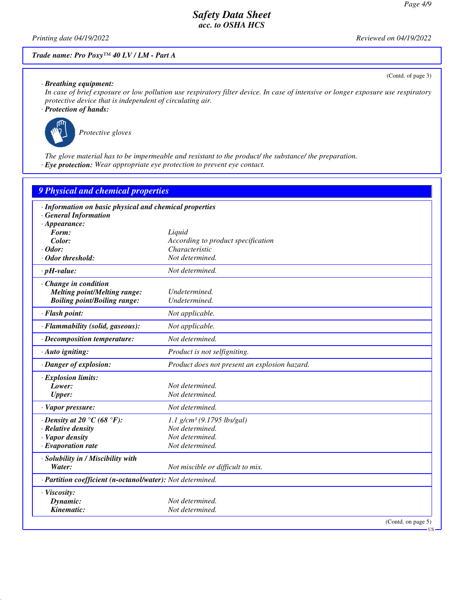(Contd. of page 3)

# *Safety Data Sheet acc. to OSHA HCS*

*Printing date 04/19/2022 Reviewed on 04/19/2022*

### *Trade name: Pro Poxy™ 40 LV / LM - Part A*

*· Breathing equipment:*

*In case of brief exposure or low pollution use respiratory filter device. In case of intensive or longer exposure use respiratory protective device that is independent of circulating air.*

*· Protection of hands:*



*Protective gloves*

*The glove material has to be impermeable and resistant to the product/ the substance/ the preparation. · Eye protection: Wear appropriate eye protection to prevent eye contact.*

| 9 Physical and chemical properties                         |                                               |
|------------------------------------------------------------|-----------------------------------------------|
| · Information on basic physical and chemical properties    |                                               |
| <b>General Information</b>                                 |                                               |
| $\cdot$ Appearance:                                        |                                               |
| Form:                                                      | Liquid                                        |
| Color:                                                     | According to product specification            |
| $\cdot$ Odor:                                              | Characteristic                                |
| · Odor threshold:                                          | Not determined.                               |
| $\cdot$ pH-value:                                          | Not determined.                               |
| · Change in condition                                      |                                               |
| <b>Melting point/Melting range:</b>                        | Undetermined.                                 |
| <b>Boiling point/Boiling range:</b>                        | Undetermined.                                 |
| · Flash point:                                             | Not applicable.                               |
| · Flammability (solid, gaseous):                           | Not applicable.                               |
| · Decomposition temperature:                               | Not determined.                               |
| · Auto igniting:                                           | Product is not selfigniting.                  |
| · Danger of explosion:                                     | Product does not present an explosion hazard. |
| · Explosion limits:                                        |                                               |
| Lower:                                                     | Not determined.                               |
| <b>Upper:</b>                                              | Not determined.                               |
| · Vapor pressure:                                          | Not determined.                               |
| $\cdot$ Density at 20 $\degree$ C (68 $\degree$ F):        | $1.1$ g/cm <sup>3</sup> (9.1795 lbs/gal)      |
| · Relative density                                         | Not determined.                               |
| · Vapor density                                            | Not determined.                               |
| · Evaporation rate                                         | Not determined.                               |
| · Solubility in / Miscibility with                         |                                               |
| Water:                                                     | Not miscible or difficult to mix.             |
| · Partition coefficient (n-octanol/water): Not determined. |                                               |
| · Viscosity:                                               |                                               |
| Dynamic:                                                   | Not determined.                               |
| Kinematic:                                                 | Not determined.                               |
|                                                            | (Contd. on page 5)                            |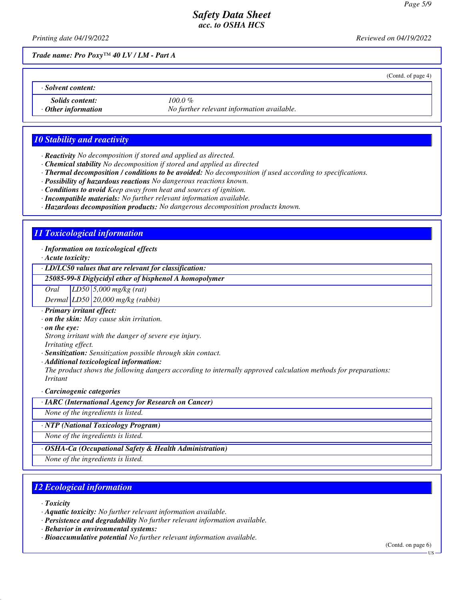*Printing date 04/19/2022 Reviewed on 04/19/2022*

(Contd. of page 4)

*Trade name: Pro Poxy™ 40 LV / LM - Part A*

*· Solvent content:*

**Solids content: 100.0 %**<br> **Context information** *No furth* 

*· Other information No further relevant information available.*

# *10 Stability and reactivity*

- *· Reactivity No decomposition if stored and applied as directed.*
- *· Chemical stability No decomposition if stored and applied as directed*
- *· Thermal decomposition / conditions to be avoided: No decomposition if used according to specifications.*
- *· Possibility of hazardous reactions No dangerous reactions known.*
- *· Conditions to avoid Keep away from heat and sources of ignition.*
- *· Incompatible materials: No further relevant information available.*
- *· Hazardous decomposition products: No dangerous decomposition products known.*

# *11 Toxicological information*

#### *· Information on toxicological effects*

*· Acute toxicity:*

*· LD/LC50 values that are relevant for classification:*

#### *25085-99-8 Diglycidyl ether of bisphenol A homopolymer*

*Oral LD50 5,000 mg/kg (rat)*

*Dermal LD50 20,000 mg/kg (rabbit)*

- *· Primary irritant effect:*
- *· on the skin: May cause skin irritation.*
- *· on the eye:*

*Strong irritant with the danger of severe eye injury.*

- *Irritating effect.*
- *· Sensitization: Sensitization possible through skin contact.*
- *· Additional toxicological information:*

*The product shows the following dangers according to internally approved calculation methods for preparations: Irritant*

*· Carcinogenic categories*

*· IARC (International Agency for Research on Cancer)*

*None of the ingredients is listed.*

*· NTP (National Toxicology Program)*

*None of the ingredients is listed.*

#### *· OSHA-Ca (Occupational Safety & Health Administration)*

*None of the ingredients is listed.*

# *12 Ecological information*

*· Toxicity*

- *· Persistence and degradability No further relevant information available.*
- *· Behavior in environmental systems:*
- *· Bioaccumulative potential No further relevant information available.*

(Contd. on page 6)

*<sup>·</sup> Aquatic toxicity: No further relevant information available.*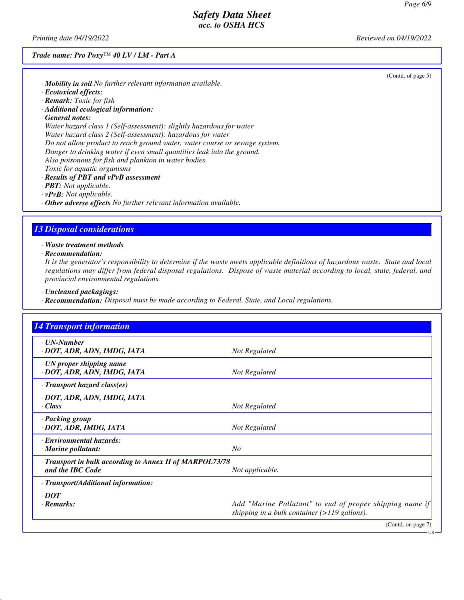*Printing date 04/19/2022 Reviewed on 04/19/2022*

#### *Trade name: Pro Poxy™ 40 LV / LM - Part A*

(Contd. of page 5)

US

- *· Mobility in soil No further relevant information available.*
- *· Ecotoxical effects:*
- *· Remark: Toxic for fish*
- *· Additional ecological information:*
- *· General notes:*

*Water hazard class 1 (Self-assessment): slightly hazardous for water Water hazard class 2 (Self-assessment): hazardous for water Do not allow product to reach ground water, water course or sewage system. Danger to drinking water if even small quantities leak into the ground. Also poisonous for fish and plankton in water bodies. Toxic for aquatic organisms*

- *· Results of PBT and vPvB assessment*
- *· PBT: Not applicable.*
- *· vPvB: Not applicable.*
- *· Other adverse effects No further relevant information available.*

#### *13 Disposal considerations*

*· Waste treatment methods*

*· Recommendation:*

*It is the generator's responsibility to determine if the waste meets applicable definitions of hazardous waste. State and local regulations may differ from federal disposal regulations. Dispose of waste material according to local, state, federal, and provincial environmental regulations.*

- *· Uncleaned packagings:*
- *· Recommendation: Disposal must be made according to Federal, State, and Local regulations.*

| <b>14 Transport information</b>                                              |                                                                                                            |
|------------------------------------------------------------------------------|------------------------------------------------------------------------------------------------------------|
| · <b><i>UN-Number</i></b><br>· DOT, ADR, ADN, IMDG, IATA                     | Not Regulated                                                                                              |
| · UN proper shipping name<br>· DOT, ADR, ADN, IMDG, IATA                     | Not Regulated                                                                                              |
| $\cdot$ Transport hazard class(es)                                           |                                                                                                            |
| · DOT, ADR, ADN, IMDG, IATA<br>$\cdot$ Class                                 | Not Regulated                                                                                              |
| · Packing group<br>· DOT, ADR, IMDG, IATA                                    | Not Regulated                                                                                              |
| · Environmental hazards:<br>$\cdot$ Marine pollutant:                        | N <sub>O</sub>                                                                                             |
| · Transport in bulk according to Annex II of MARPOL73/78<br>and the IBC Code | Not applicable.                                                                                            |
| · Transport/Additional information:                                          |                                                                                                            |
| $\cdot$ DOT                                                                  |                                                                                                            |
| · Remarks:                                                                   | Add "Marine Pollutant" to end of proper shipping name if<br>shipping in a bulk container $(>119$ gallons). |
|                                                                              | (Contd. on page 7)                                                                                         |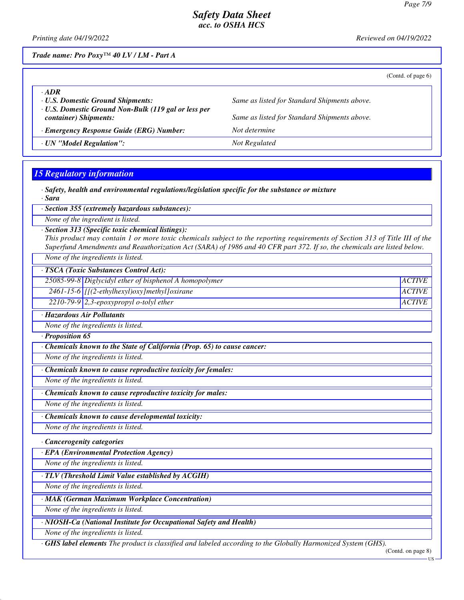*Printing date 04/19/2022 Reviewed on 04/19/2022*

*Trade name: Pro Poxy™ 40 LV / LM - Part A*

(Contd. of page 6)

| $-ADR$<br><b>U.S. Domestic Ground Shipments:</b>                                     | Same as listed for Standard Shipments above. |
|--------------------------------------------------------------------------------------|----------------------------------------------|
| <b>· U.S. Domestic Ground Non-Bulk (119 gal or less per</b><br>container) Shipments: | Same as listed for Standard Shipments above. |
| · Emergency Response Guide (ERG) Number:                                             | Not determine                                |
| · UN "Model Regulation":                                                             | Not Regulated                                |

## *15 Regulatory information*

*· Safety, health and environmental regulations/legislation specific for the substance or mixture · Sara*

*· Section 355 (extremely hazardous substances):*

*None of the ingredient is listed.*

*· Section 313 (Specific toxic chemical listings):*

*This product may contain 1 or more toxic chemicals subject to the reporting requirements of Section 313 of Title III of the Superfund Amendments and Reauthorization Act (SARA) of 1986 and 40 CFR part 372. If so, the chemicals are listed below. None of the ingredients is listed.*

*· TSCA (Toxic Substances Control Act):*

25085-99-8 Diglycidyl ether of bisphenol A homopolymer *ACTIVE* 

*2461-15-6 [[(2-ethylhexyl)oxy]methyl]oxirane ACTIVE*

*2210-79-9 2,3-epoxypropyl o-tolyl ether ACTIVE*

*· Hazardous Air Pollutants*

*None of the ingredients is listed.*

*· Proposition 65*

*· Chemicals known to the State of California (Prop. 65) to cause cancer:*

*None of the ingredients is listed.*

*· Chemicals known to cause reproductive toxicity for females:*

*None of the ingredients is listed.*

*· Chemicals known to cause reproductive toxicity for males:*

*None of the ingredients is listed.*

*· Chemicals known to cause developmental toxicity:*

*None of the ingredients is listed.*

*· Cancerogenity categories*

*· EPA (Environmental Protection Agency)*

*None of the ingredients is listed.*

*· TLV (Threshold Limit Value established by ACGIH)*

*None of the ingredients is listed.*

*· MAK (German Maximum Workplace Concentration)*

*None of the ingredients is listed.*

*· NIOSH-Ca (National Institute for Occupational Safety and Health)*

*None of the ingredients is listed.*

*· GHS label elements The product is classified and labeled according to the Globally Harmonized System (GHS).*

(Contd. on page 8)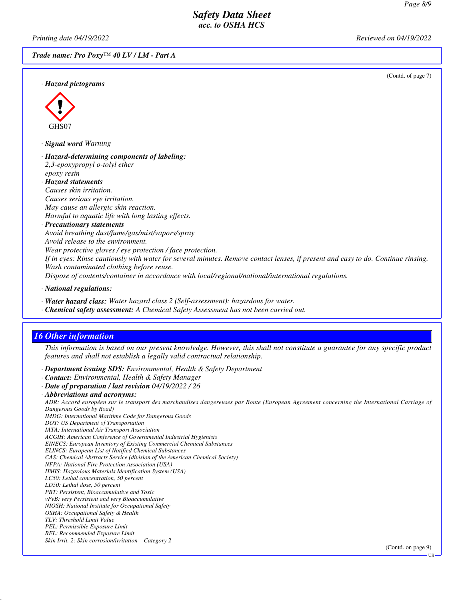*Printing date 04/19/2022 Reviewed on 04/19/2022*

*Trade name: Pro Poxy™ 40 LV / LM - Part A*

(Contd. of page 7)



#### *· Signal word Warning*

- *· Hazard-determining components of labeling: 2,3-epoxypropyl o-tolyl ether epoxy resin · Hazard statements*
- *Causes skin irritation. Causes serious eye irritation. May cause an allergic skin reaction. Harmful to aquatic life with long lasting effects.*
- *· Precautionary statements Avoid breathing dust/fume/gas/mist/vapors/spray Avoid release to the environment. Wear protective gloves / eye protection / face protection. If in eyes: Rinse cautiously with water for several minutes. Remove contact lenses, if present and easy to do. Continue rinsing. Wash contaminated clothing before reuse. Dispose of contents/container in accordance with local/regional/national/international regulations.*
- *· National regulations:*
- *· Water hazard class: Water hazard class 2 (Self-assessment): hazardous for water.*
- *· Chemical safety assessment: A Chemical Safety Assessment has not been carried out.*

# *16 Other information*

*This information is based on our present knowledge. However, this shall not constitute a guarantee for any specific product features and shall not establish a legally valid contractual relationship.*

*· Department issuing SDS: Environmental, Health & Safety Department*

- *· Contact: Environmental, Health & Safety Manager*
- *· Date of preparation / last revision 04/19/2022 / 26*
- *· Abbreviations and acronyms:*

*ADR: Accord européen sur le transport des marchandises dangereuses par Route (European Agreement concerning the International Carriage of Dangerous Goods by Road)*

- *IMDG: International Maritime Code for Dangerous Goods*
- *DOT: US Department of Transportation IATA: International Air Transport Association*
- *ACGIH: American Conference of Governmental Industrial Hygienists*
- *EINECS: European Inventory of Existing Commercial Chemical Substances*
- *ELINCS: European List of Notified Chemical Substances*
- *CAS: Chemical Abstracts Service (division of the American Chemical Society)*
- *NFPA: National Fire Protection Association (USA)*
- *HMIS: Hazardous Materials Identification System (USA)*
- *LC50: Lethal concentration, 50 percent*
- *LD50: Lethal dose, 50 percent*
- *PBT: Persistent, Bioaccumulative and Toxic vPvB: very Persistent and very Bioaccumulative*
- *NIOSH: National Institute for Occupational Safety*
- *OSHA: Occupational Safety & Health*
- *TLV: Threshold Limit Value*
- *PEL: Permissible Exposure Limit*
- *REL: Recommended Exposure Limit*
- *Skin Irrit. 2: Skin corrosion/irritation Category 2*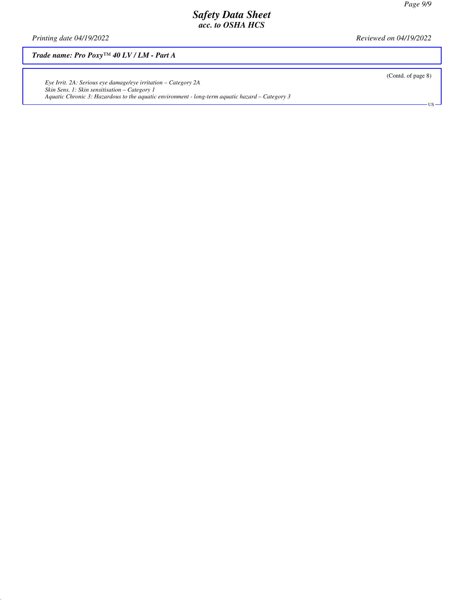*Printing date 04/19/2022 Reviewed on 04/19/2022*

*Trade name: Pro Poxy™ 40 LV / LM - Part A*

*Eye Irrit. 2A: Serious eye damage/eye irritation – Category 2A Skin Sens. 1: Skin sensitisation – Category 1 Aquatic Chronic 3: Hazardous to the aquatic environment - long-term aquatic hazard – Category 3* (Contd. of page 8)

US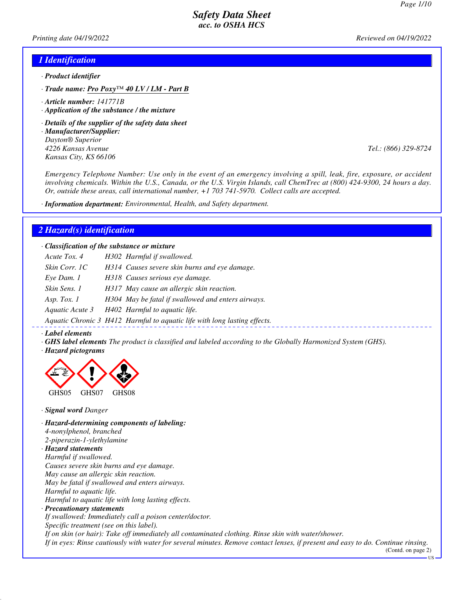*Printing date 04/19/2022 Reviewed on 04/19/2022*

#### *1 Identification*

- *· Product identifier*
- *· Trade name: Pro Poxy™ 40 LV / LM Part B*
- *· Article number: 141771B*
- *· Application of the substance / the mixture*
- *· Details of the supplier of the safety data sheet*
- *· Manufacturer/Supplier: Dayton® Superior 4226 Kansas Avenue Tel.: (866) 329-8724 Kansas City, KS 66106*

*Emergency Telephone Number: Use only in the event of an emergency involving a spill, leak, fire, exposure, or accident involving chemicals. Within the U.S., Canada, or the U.S. Virgin Islands, call ChemTrec at (800) 424-9300, 24 hours a day. Or, outside these areas, call international number, +1 703 741-5970. Collect calls are accepted.*

*· Information department: Environmental, Health, and Safety department.*

#### *2 Hazard(s) identification*

*· Classification of the substance or mixture*

| Acute Tox. 4    | H302 Harmful if swallowed.                                                |
|-----------------|---------------------------------------------------------------------------|
| Skin Corr. 1C   | H314 Causes severe skin burns and eye damage.                             |
| Eye Dam. 1      | H318 Causes serious eye damage.                                           |
| Skin Sens. 1    | H317 May cause an allergic skin reaction.                                 |
| Asp. Tox. $1$   | H304 May be fatal if swallowed and enters airways.                        |
| Aquatic Acute 3 | H402 Harmful to aquatic life.                                             |
|                 | Aquatic Chronic 3, H412, Harmful to gaugtic life with long lasting effect |

*Aquatic Chronic 3 H412 Harmful to aquatic life with long lasting effects.*

#### *· Label elements*

- *· GHS label elements The product is classified and labeled according to the Globally Harmonized System (GHS).*
- *· Hazard pictograms*



*· Signal word Danger*

*· Hazard-determining components of labeling: 4-nonylphenol, branched 2-piperazin-1-ylethylamine · Hazard statements Harmful if swallowed. Causes severe skin burns and eye damage. May cause an allergic skin reaction. May be fatal if swallowed and enters airways. Harmful to aquatic life. Harmful to aquatic life with long lasting effects. · Precautionary statements If swallowed: Immediately call a poison center/doctor. Specific treatment (see on this label). If on skin (or hair): Take off immediately all contaminated clothing. Rinse skin with water/shower. If in eyes: Rinse cautiously with water for several minutes. Remove contact lenses, if present and easy to do. Continue rinsing.*

(Contd. on page 2)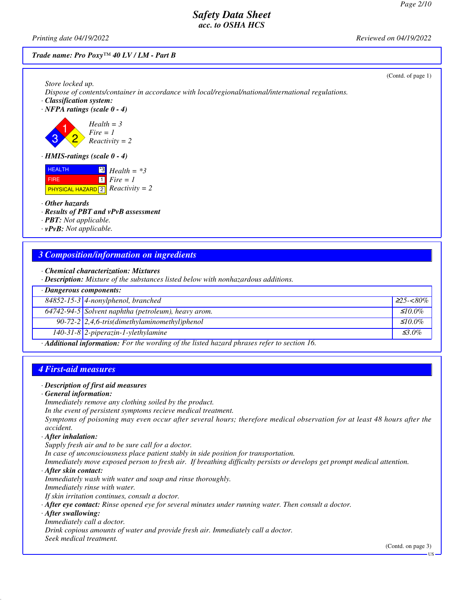*Printing date 04/19/2022 Reviewed on 04/19/2022*

#### *Trade name: Pro Poxy™ 40 LV / LM - Part B*

| Store locked up.<br>Dispose of contents/container in accordance with local/regional/national/international regulations. |  |
|-------------------------------------------------------------------------------------------------------------------------|--|
|                                                                                                                         |  |
| · Classification system:<br>$\cdot$ NFPA ratings (scale 0 - 4)                                                          |  |
|                                                                                                                         |  |
| $Health = 3$<br>$Fire = 1$                                                                                              |  |
| $Reactivity = 2$                                                                                                        |  |
| $\cdot$ HMIS-ratings (scale 0 - 4)                                                                                      |  |
| <b>HEALTH</b><br>$\frac{13}{3}$ Health = *3                                                                             |  |
| $1$ Fire = 1<br><b>FIRE</b><br><b>PHYSICAL HAZARD</b> $\boxed{2}$ <i>Reactivity</i> = 2                                 |  |
|                                                                                                                         |  |
| $\cdot$ Other hazards<br>· Results of PBT and vPvB assessment                                                           |  |
| $\cdot$ <b>PBT:</b> Not applicable.                                                                                     |  |
| $\cdot$ vPvB: Not applicable.                                                                                           |  |

### *3 Composition/information on ingredients*

|  |  |  | • Chemical characterization: Mixtures |  |
|--|--|--|---------------------------------------|--|
|--|--|--|---------------------------------------|--|

*· Description: Mixture of the substances listed below with nonhazardous additions.*

| $\cdot$ Dangerous components:                                                                            |                                                                |               |
|----------------------------------------------------------------------------------------------------------|----------------------------------------------------------------|---------------|
|                                                                                                          | 84852-15-3 4-nonylphenol, branched                             | $225 - 80\%$  |
|                                                                                                          | 64742-94-5 Solvent naphtha (petroleum), heavy arom.            | $\leq 10.0\%$ |
|                                                                                                          | 90-72-2 $\left  2,4,6\right $ -tris(dimethylaminomethyl)phenol | $\leq 10.0\%$ |
|                                                                                                          | $140-31-8$ 2-piperazin-1-ylethylamine                          | $\leq 3.0\%$  |
| $\cdot$ <b>Additional information:</b> For the wording of the listed hazard phrases refer to section 16. |                                                                |               |

### *4 First-aid measures*

#### *· Description of first aid measures*

#### *· General information:*

*Immediately remove any clothing soiled by the product.*

*In the event of persistent symptoms recieve medical treatment.*

*Symptoms of poisoning may even occur after several hours; therefore medical observation for at least 48 hours after the accident.*

#### *· After inhalation:*

*Supply fresh air and to be sure call for a doctor. In case of unconsciousness place patient stably in side position for transportation. Immediately move exposed person to fresh air. If breathing difficulty persists or develops get prompt medical attention.*

*· After skin contact:*

*Immediately wash with water and soap and rinse thoroughly.*

*Immediately rinse with water.*

*If skin irritation continues, consult a doctor.*

*· After eye contact: Rinse opened eye for several minutes under running water. Then consult a doctor.*

*· After swallowing:*

*Immediately call a doctor.*

*Drink copious amounts of water and provide fresh air. Immediately call a doctor.*

*Seek medical treatment.*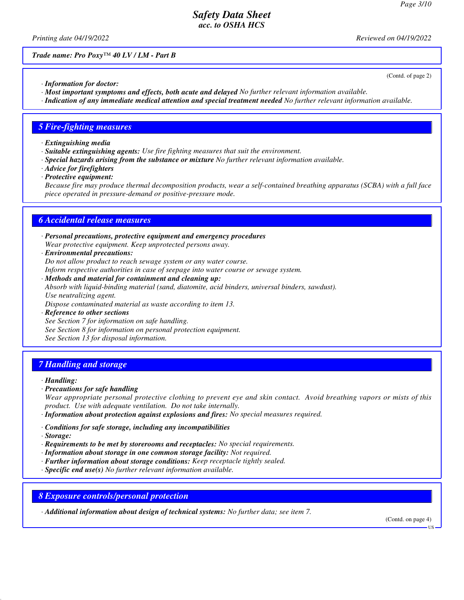(Contd. of page 2)

## *Safety Data Sheet acc. to OSHA HCS*

*Printing date 04/19/2022 Reviewed on 04/19/2022*

*Trade name: Pro Poxy™ 40 LV / LM - Part B*

*· Information for doctor:*

*· Most important symptoms and effects, both acute and delayed No further relevant information available.*

*· Indication of any immediate medical attention and special treatment needed No further relevant information available.*

#### *5 Fire-fighting measures*

*· Extinguishing media*

- *· Suitable extinguishing agents: Use fire fighting measures that suit the environment.*
- *· Special hazards arising from the substance or mixture No further relevant information available.*
- *· Advice for firefighters*
- *· Protective equipment:*

*Because fire may produce thermal decomposition products, wear a self-contained breathing apparatus (SCBA) with a full face piece operated in pressure-demand or positive-pressure mode.*

### *6 Accidental release measures*

- *· Personal precautions, protective equipment and emergency procedures Wear protective equipment. Keep unprotected persons away.*
- *· Environmental precautions: Do not allow product to reach sewage system or any water course. Inform respective authorities in case of seepage into water course or sewage system.*
- *· Methods and material for containment and cleaning up: Absorb with liquid-binding material (sand, diatomite, acid binders, universal binders, sawdust). Use neutralizing agent. Dispose contaminated material as waste according to item 13.*
- *· Reference to other sections See Section 7 for information on safe handling. See Section 8 for information on personal protection equipment. See Section 13 for disposal information.*

### *7 Handling and storage*

#### *· Handling:*

*· Precautions for safe handling*

*Wear appropriate personal protective clothing to prevent eye and skin contact. Avoid breathing vapors or mists of this product. Use with adequate ventilation. Do not take internally.*

- *· Information about protection against explosions and fires: No special measures required.*
- *· Conditions for safe storage, including any incompatibilities*
- *· Storage:*
- *· Requirements to be met by storerooms and receptacles: No special requirements.*
- *· Information about storage in one common storage facility: Not required.*
- *· Further information about storage conditions: Keep receptacle tightly sealed.*
- *· Specific end use(s) No further relevant information available.*

*8 Exposure controls/personal protection*

*· Additional information about design of technical systems: No further data; see item 7.*

(Contd. on page 4)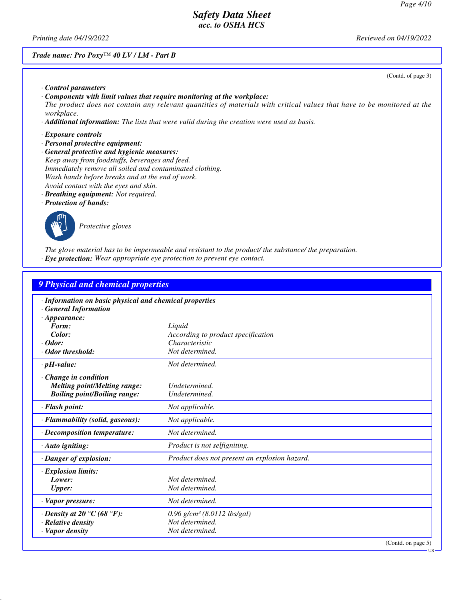*Printing date 04/19/2022 Reviewed on 04/19/2022*

#### *Trade name: Pro Poxy™ 40 LV / LM - Part B*

(Contd. of page 3)

- *· Control parameters · Components with limit values that require monitoring at the workplace: The product does not contain any relevant quantities of materials with critical values that have to be monitored at the workplace.*
- *· Additional information: The lists that were valid during the creation were used as basis.*
- *· Exposure controls*
- *· Personal protective equipment:*
- *· General protective and hygienic measures: Keep away from foodstuffs, beverages and feed. Immediately remove all soiled and contaminated clothing. Wash hands before breaks and at the end of work. Avoid contact with the eyes and skin.*
- *· Breathing equipment: Not required.*
- *· Protection of hands:*



*Protective gloves*

*The glove material has to be impermeable and resistant to the product/ the substance/ the preparation. · Eye protection: Wear appropriate eye protection to prevent eye contact.*

| <b>9 Physical and chemical properties</b>                                                                    |                                               |                    |
|--------------------------------------------------------------------------------------------------------------|-----------------------------------------------|--------------------|
| · Information on basic physical and chemical properties<br><b>General Information</b><br>$\cdot$ Appearance: |                                               |                    |
| Form:                                                                                                        | Liquid                                        |                    |
| Color:                                                                                                       | According to product specification            |                    |
| $\cdot$ Odor:                                                                                                | Characteristic                                |                    |
| · Odor threshold:                                                                                            | Not determined.                               |                    |
| $\cdot$ pH-value:                                                                                            | Not determined.                               |                    |
| $\cdot$ Change in condition<br><b>Melting point/Melting range:</b><br><b>Boiling point/Boiling range:</b>    | Undetermined.<br>Undetermined.                |                    |
| $\cdot$ Flash point:                                                                                         | Not applicable.                               |                    |
| · Flammability (solid, gaseous):                                                                             | Not applicable.                               |                    |
| $\cdot$ Decomposition temperature:                                                                           | Not determined.                               |                    |
| · Auto igniting:                                                                                             | Product is not selfigniting.                  |                    |
| · Danger of explosion:                                                                                       | Product does not present an explosion hazard. |                    |
| <b>Explosion limits:</b><br>Lower:<br><b>Upper:</b>                                                          | Not determined.<br>Not determined.            |                    |
| · Vapor pressure:                                                                                            | Not determined.                               |                    |
| $\cdot$ Density at 20 °C (68 °F):                                                                            | $0.96$ g/cm <sup>3</sup> (8.0112 lbs/gal)     |                    |
| · Relative density                                                                                           | Not determined.                               |                    |
| · Vapor density                                                                                              | Not determined.                               |                    |
|                                                                                                              |                                               | (Contd. on page 5) |

US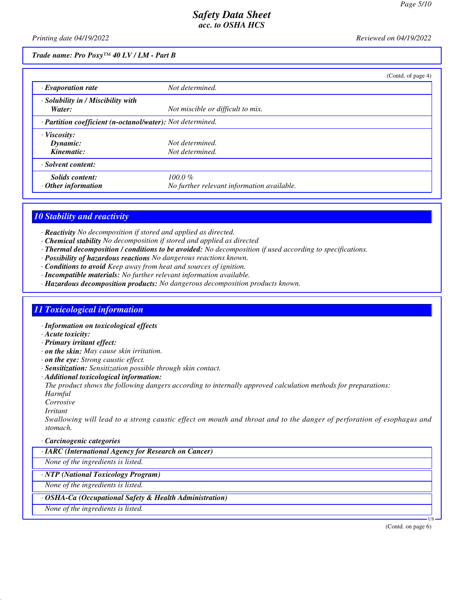*Printing date 04/19/2022 Reviewed on 04/19/2022*

*Trade name: Pro Poxy™ 40 LV / LM - Part B*

|                                                            |                                            | (Contd. of page 4) |
|------------------------------------------------------------|--------------------------------------------|--------------------|
| $\cdot$ Evaporation rate                                   | Not determined.                            |                    |
| · Solubility in / Miscibility with<br>Water:               | Not miscible or difficult to mix.          |                    |
| · Partition coefficient (n-octanol/water): Not determined. |                                            |                    |
| · Viscosity:                                               |                                            |                    |
| Dynamic:                                                   | Not determined.                            |                    |
| Kinematic:                                                 | Not determined.                            |                    |
| · Solvent content:                                         |                                            |                    |
| <b>Solids content:</b>                                     | $100.0 \%$                                 |                    |
| $\cdot$ Other information                                  | No further relevant information available. |                    |

# *10 Stability and reactivity*

*· Reactivity No decomposition if stored and applied as directed.*

- *· Chemical stability No decomposition if stored and applied as directed*
- *· Thermal decomposition / conditions to be avoided: No decomposition if used according to specifications.*
- *· Possibility of hazardous reactions No dangerous reactions known.*
- *· Conditions to avoid Keep away from heat and sources of ignition.*
- *· Incompatible materials: No further relevant information available.*
- *· Hazardous decomposition products: No dangerous decomposition products known.*

# *11 Toxicological information*

- *· Information on toxicological effects*
- *· Acute toxicity:*
- *· Primary irritant effect:*
- *· on the skin: May cause skin irritation.*
- *· on the eye: Strong caustic effect.*
- *· Sensitization: Sensitization possible through skin contact.*
- *· Additional toxicological information:*

*The product shows the following dangers according to internally approved calculation methods for preparations: Harmful*

- *Corrosive*
- *Irritant*

*Swallowing will lead to a strong caustic effect on mouth and throat and to the danger of perforation of esophagus and stomach.*

*· Carcinogenic categories*

*· IARC (International Agency for Research on Cancer)*

*None of the ingredients is listed.*

*· NTP (National Toxicology Program)*

*None of the ingredients is listed.*

*· OSHA-Ca (Occupational Safety & Health Administration)*

*None of the ingredients is listed.*

(Contd. on page 6)

US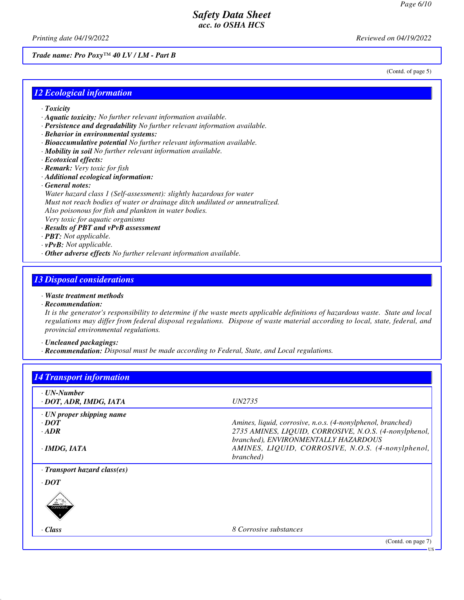(Contd. of page 5)

# *Safety Data Sheet acc. to OSHA HCS*

*Printing date 04/19/2022 Reviewed on 04/19/2022*

*Trade name: Pro Poxy™ 40 LV / LM - Part B*

### *12 Ecological information*

- *· Toxicity*
- *· Aquatic toxicity: No further relevant information available.*
- *· Persistence and degradability No further relevant information available.*
- *· Behavior in environmental systems:*
- *· Bioaccumulative potential No further relevant information available.*
- *· Mobility in soil No further relevant information available.*
- *· Ecotoxical effects:*
- *· Remark: Very toxic for fish*
- *· Additional ecological information:*
- *· General notes:*

*Water hazard class 1 (Self-assessment): slightly hazardous for water Must not reach bodies of water or drainage ditch undiluted or unneutralized. Also poisonous for fish and plankton in water bodies. Very toxic for aquatic organisms*

- *· Results of PBT and vPvB assessment*
- *· PBT: Not applicable.*
- *· vPvB: Not applicable.*
- *· Other adverse effects No further relevant information available.*

### *13 Disposal considerations*

- *· Waste treatment methods*
- *· Recommendation:*

*It is the generator's responsibility to determine if the waste meets applicable definitions of hazardous waste. State and local regulations may differ from federal disposal regulations. Dispose of waste material according to local, state, federal, and provincial environmental regulations.*

*· Uncleaned packagings:*

*· Recommendation: Disposal must be made according to Federal, State, and Local regulations.*

| <b>14 Transport information</b>       |                                                                                                |
|---------------------------------------|------------------------------------------------------------------------------------------------|
| · UN-Number<br>· DOT, ADR, IMDG, IATA | <i>UN2735</i>                                                                                  |
| $\cdot$ UN proper shipping name       |                                                                                                |
| $\cdot$ <i>DOT</i>                    | Amines, liquid, corrosive, n.o.s. (4-nonylphenol, branched)                                    |
| $\cdot$ ADR                           | 2735 AMINES, LIQUID, CORROSIVE, N.O.S. (4-nonylphenol,<br>branched), ENVIRONMENTALLY HAZARDOUS |
| $\cdot$ IMDG, IATA                    | AMINES, LIQUID, CORROSIVE, N.O.S. (4-nonylphenol,<br>branched)                                 |
| $\cdot$ Transport hazard class(es)    |                                                                                                |
| $\cdot$ DOT                           |                                                                                                |
| CORROSI                               |                                                                                                |
| · Class                               | 8 Corrosive substances                                                                         |
|                                       | (Contd. on page 7)                                                                             |
|                                       | · US                                                                                           |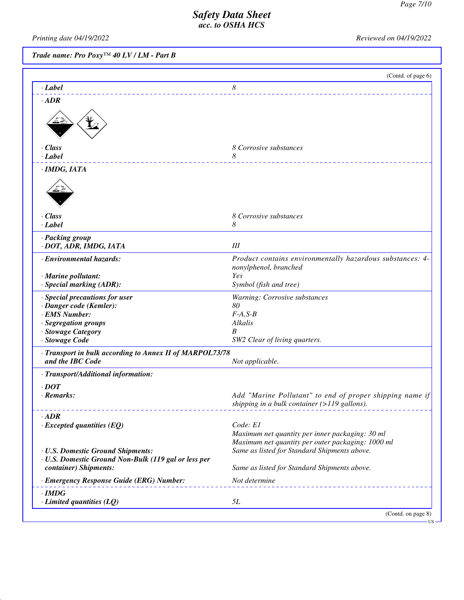*Printing date 04/19/2022 Reviewed on 04/19/2022*

*Trade name: Pro Poxy™ 40 LV / LM - Part B*

| 8<br>$-Label$<br>$\cdot$ ADR<br>$\cdot$ Class<br>8 Corrosive substances<br>8<br>$\cdot$ Label<br>$\cdot$ IMDG, IATA<br>· Class<br>8 Corrosive substances<br>8<br>$\cdot$ Label<br>· Packing group<br>· DOT, ADR, IMDG, IATA<br>Ш<br>· Environmental hazards:<br>Product contains environmentally hazardous substances: 4-<br>nonylphenol, branched<br>· Marine pollutant:<br>Yes<br>· Special marking (ADR):<br>Symbol (fish and tree)<br>· Special precautions for user<br>Warning: Corrosive substances<br>80<br>· Danger code (Kemler):<br>· EMS Number:<br>$F-A, S-B$<br>· Segregation groups<br>Alkalis<br>· Stowage Category<br>B<br>· Stowage Code<br>SW2 Clear of living quarters.<br>Transport in bulk according to Annex II of MARPOL73/78<br>Not applicable.<br>and the IBC Code<br>· Transport/Additional information:<br>$\cdot$ DOT<br>· Remarks:<br>Add "Marine Pollutant" to end of proper shipping name if<br>shipping in a bulk container (>119 gallons).<br>$\cdot$ ADR<br>Code: E1<br>$\cdot$ Excepted quantities (EQ)<br>Maximum net quantity per inner packaging: 30 ml<br>Maximum net quantity per outer packaging: 1000 ml<br>Same as listed for Standard Shipments above.<br>· U.S. Domestic Ground Shipments:<br>· U.S. Domestic Ground Non-Bulk (119 gal or less per<br>container) Shipments:<br>Same as listed for Standard Shipments above.<br>· Emergency Response Guide (ERG) Number:<br>Not determine<br>$\cdot$ IMDG<br>5L<br>$\cdot$ Limited quantities (LQ) | (Contd. of page 6) |
|------------------------------------------------------------------------------------------------------------------------------------------------------------------------------------------------------------------------------------------------------------------------------------------------------------------------------------------------------------------------------------------------------------------------------------------------------------------------------------------------------------------------------------------------------------------------------------------------------------------------------------------------------------------------------------------------------------------------------------------------------------------------------------------------------------------------------------------------------------------------------------------------------------------------------------------------------------------------------------------------------------------------------------------------------------------------------------------------------------------------------------------------------------------------------------------------------------------------------------------------------------------------------------------------------------------------------------------------------------------------------------------------------------------------------------------------------------------------------------------------|--------------------|
|                                                                                                                                                                                                                                                                                                                                                                                                                                                                                                                                                                                                                                                                                                                                                                                                                                                                                                                                                                                                                                                                                                                                                                                                                                                                                                                                                                                                                                                                                                |                    |
|                                                                                                                                                                                                                                                                                                                                                                                                                                                                                                                                                                                                                                                                                                                                                                                                                                                                                                                                                                                                                                                                                                                                                                                                                                                                                                                                                                                                                                                                                                |                    |
|                                                                                                                                                                                                                                                                                                                                                                                                                                                                                                                                                                                                                                                                                                                                                                                                                                                                                                                                                                                                                                                                                                                                                                                                                                                                                                                                                                                                                                                                                                |                    |
|                                                                                                                                                                                                                                                                                                                                                                                                                                                                                                                                                                                                                                                                                                                                                                                                                                                                                                                                                                                                                                                                                                                                                                                                                                                                                                                                                                                                                                                                                                |                    |
|                                                                                                                                                                                                                                                                                                                                                                                                                                                                                                                                                                                                                                                                                                                                                                                                                                                                                                                                                                                                                                                                                                                                                                                                                                                                                                                                                                                                                                                                                                |                    |
|                                                                                                                                                                                                                                                                                                                                                                                                                                                                                                                                                                                                                                                                                                                                                                                                                                                                                                                                                                                                                                                                                                                                                                                                                                                                                                                                                                                                                                                                                                |                    |
|                                                                                                                                                                                                                                                                                                                                                                                                                                                                                                                                                                                                                                                                                                                                                                                                                                                                                                                                                                                                                                                                                                                                                                                                                                                                                                                                                                                                                                                                                                |                    |
|                                                                                                                                                                                                                                                                                                                                                                                                                                                                                                                                                                                                                                                                                                                                                                                                                                                                                                                                                                                                                                                                                                                                                                                                                                                                                                                                                                                                                                                                                                |                    |
|                                                                                                                                                                                                                                                                                                                                                                                                                                                                                                                                                                                                                                                                                                                                                                                                                                                                                                                                                                                                                                                                                                                                                                                                                                                                                                                                                                                                                                                                                                |                    |
|                                                                                                                                                                                                                                                                                                                                                                                                                                                                                                                                                                                                                                                                                                                                                                                                                                                                                                                                                                                                                                                                                                                                                                                                                                                                                                                                                                                                                                                                                                |                    |
|                                                                                                                                                                                                                                                                                                                                                                                                                                                                                                                                                                                                                                                                                                                                                                                                                                                                                                                                                                                                                                                                                                                                                                                                                                                                                                                                                                                                                                                                                                |                    |
|                                                                                                                                                                                                                                                                                                                                                                                                                                                                                                                                                                                                                                                                                                                                                                                                                                                                                                                                                                                                                                                                                                                                                                                                                                                                                                                                                                                                                                                                                                |                    |
|                                                                                                                                                                                                                                                                                                                                                                                                                                                                                                                                                                                                                                                                                                                                                                                                                                                                                                                                                                                                                                                                                                                                                                                                                                                                                                                                                                                                                                                                                                |                    |
|                                                                                                                                                                                                                                                                                                                                                                                                                                                                                                                                                                                                                                                                                                                                                                                                                                                                                                                                                                                                                                                                                                                                                                                                                                                                                                                                                                                                                                                                                                |                    |
|                                                                                                                                                                                                                                                                                                                                                                                                                                                                                                                                                                                                                                                                                                                                                                                                                                                                                                                                                                                                                                                                                                                                                                                                                                                                                                                                                                                                                                                                                                |                    |
|                                                                                                                                                                                                                                                                                                                                                                                                                                                                                                                                                                                                                                                                                                                                                                                                                                                                                                                                                                                                                                                                                                                                                                                                                                                                                                                                                                                                                                                                                                |                    |
|                                                                                                                                                                                                                                                                                                                                                                                                                                                                                                                                                                                                                                                                                                                                                                                                                                                                                                                                                                                                                                                                                                                                                                                                                                                                                                                                                                                                                                                                                                |                    |
|                                                                                                                                                                                                                                                                                                                                                                                                                                                                                                                                                                                                                                                                                                                                                                                                                                                                                                                                                                                                                                                                                                                                                                                                                                                                                                                                                                                                                                                                                                |                    |
|                                                                                                                                                                                                                                                                                                                                                                                                                                                                                                                                                                                                                                                                                                                                                                                                                                                                                                                                                                                                                                                                                                                                                                                                                                                                                                                                                                                                                                                                                                |                    |
|                                                                                                                                                                                                                                                                                                                                                                                                                                                                                                                                                                                                                                                                                                                                                                                                                                                                                                                                                                                                                                                                                                                                                                                                                                                                                                                                                                                                                                                                                                |                    |
|                                                                                                                                                                                                                                                                                                                                                                                                                                                                                                                                                                                                                                                                                                                                                                                                                                                                                                                                                                                                                                                                                                                                                                                                                                                                                                                                                                                                                                                                                                |                    |
|                                                                                                                                                                                                                                                                                                                                                                                                                                                                                                                                                                                                                                                                                                                                                                                                                                                                                                                                                                                                                                                                                                                                                                                                                                                                                                                                                                                                                                                                                                | (Contd. on page 8) |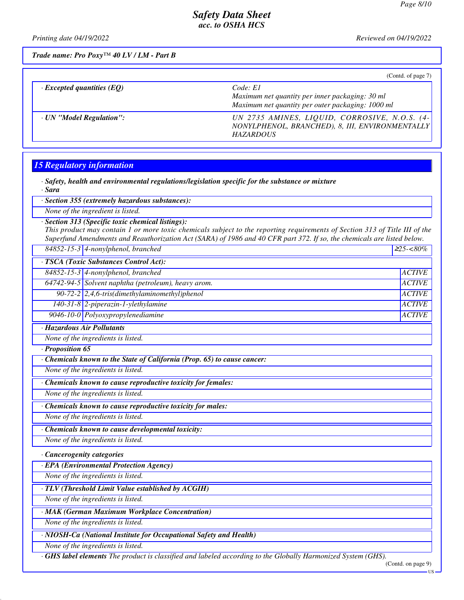*Printing date 04/19/2022 Reviewed on 04/19/2022*

*Trade name: Pro Poxy™ 40 LV / LM - Part B*

|                                  | (Contd. of page 7)                                                                                                   |
|----------------------------------|----------------------------------------------------------------------------------------------------------------------|
| $\cdot$ Excepted quantities (EQ) | Code: El<br>Maximum net quantity per inner packaging: 30 ml<br>Maximum net quantity per outer packaging: 1000 ml     |
| · UN "Model Regulation":         | UN 2735 AMINES, LIQUID, CORROSIVE, N.O.S. (4-<br>NONYLPHENOL, BRANCHED), 8, III, ENVIRONMENTALLY<br><b>HAZARDOUS</b> |

# *15 Regulatory information*

*· Safety, health and environmental regulations/legislation specific for the substance or mixture · Sara*

*· Section 355 (extremely hazardous substances):*

*None of the ingredient is listed.*

*· Section 313 (Specific toxic chemical listings):*

*This product may contain 1 or more toxic chemicals subject to the reporting requirements of Section 313 of Title III of the Superfund Amendments and Reauthorization Act (SARA) of 1986 and 40 CFR part 372. If so, the chemicals are listed below.*

|  | $84852 - 15 - 3$ 4-nonylphenol, branched | $225 - 80\%$ |
|--|------------------------------------------|--------------|
|--|------------------------------------------|--------------|

*· TSCA (Toxic Substances Control Act):*

*84852-15-3 4-nonylphenol, branched ACTIVE 64742-94-5 Solvent naphtha (petroleum), heavy arom. ACTIVE*

*90-72-2 2,4,6-tris(dimethylaminomethyl)phenol ACTIVE*

*140-31-8 2-piperazin-1-ylethylamine ACTIVE*

*9046-10-0 Polyoxypropylenediamine ACTIVE*

*· Hazardous Air Pollutants*

*None of the ingredients is listed.*

*· Proposition 65*

*· Chemicals known to the State of California (Prop. 65) to cause cancer:*

*None of the ingredients is listed.*

*· Chemicals known to cause reproductive toxicity for females:*

*None of the ingredients is listed.*

*· Chemicals known to cause reproductive toxicity for males:*

*None of the ingredients is listed.*

*· Chemicals known to cause developmental toxicity:*

*None of the ingredients is listed.*

*· Cancerogenity categories*

*· EPA (Environmental Protection Agency)*

*None of the ingredients is listed.*

*· TLV (Threshold Limit Value established by ACGIH)*

*None of the ingredients is listed.*

*· MAK (German Maximum Workplace Concentration)*

*None of the ingredients is listed.*

*· NIOSH-Ca (National Institute for Occupational Safety and Health)*

*None of the ingredients is listed.*

*· GHS label elements The product is classified and labeled according to the Globally Harmonized System (GHS).*

(Contd. on page 9)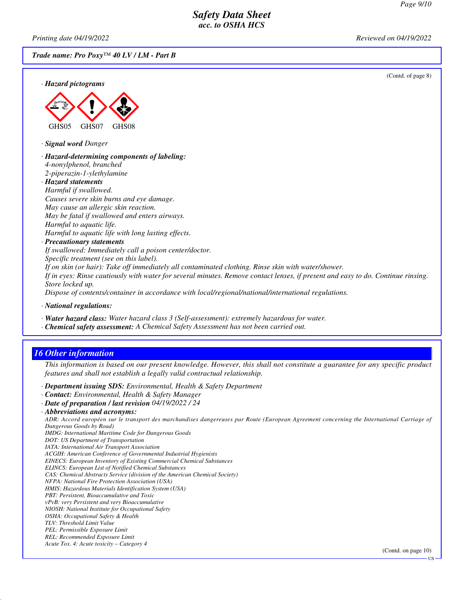*Printing date 04/19/2022 Reviewed on 04/19/2022*

*Trade name: Pro Poxy™ 40 LV / LM - Part B*

(Contd. of page 8)



#### *· Hazard-determining components of labeling: 4-nonylphenol, branched 2-piperazin-1-ylethylamine · Hazard statements Harmful if swallowed. Causes severe skin burns and eye damage.*

*May cause an allergic skin reaction. May be fatal if swallowed and enters airways. Harmful to aquatic life. Harmful to aquatic life with long lasting effects.*

#### *· Precautionary statements*

*If swallowed: Immediately call a poison center/doctor.*

*Specific treatment (see on this label).*

*If on skin (or hair): Take off immediately all contaminated clothing. Rinse skin with water/shower.*

*If in eyes: Rinse cautiously with water for several minutes. Remove contact lenses, if present and easy to do. Continue rinsing. Store locked up.*

*Dispose of contents/container in accordance with local/regional/national/international regulations.*

*· National regulations:*

*· Water hazard class: Water hazard class 3 (Self-assessment): extremely hazardous for water.*

*· Chemical safety assessment: A Chemical Safety Assessment has not been carried out.*

# *16 Other information*

*This information is based on our present knowledge. However, this shall not constitute a guarantee for any specific product features and shall not establish a legally valid contractual relationship.*

*· Department issuing SDS: Environmental, Health & Safety Department*

*· Contact: Environmental, Health & Safety Manager*

*· Date of preparation / last revision 04/19/2022 / 24*

*ADR: Accord européen sur le transport des marchandises dangereuses par Route (European Agreement concerning the International Carriage of Dangerous Goods by Road)*

- *IMDG: International Maritime Code for Dangerous Goods*
- *DOT: US Department of Transportation*
- *IATA: International Air Transport Association*

*ACGIH: American Conference of Governmental Industrial Hygienists EINECS: European Inventory of Existing Commercial Chemical Substances*

*ELINCS: European List of Notified Chemical Substances*

*CAS: Chemical Abstracts Service (division of the American Chemical Society)*

*NFPA: National Fire Protection Association (USA)*

- *HMIS: Hazardous Materials Identification System (USA)*
- *PBT: Persistent, Bioaccumulative and Toxic*

*vPvB: very Persistent and very Bioaccumulative*

*NIOSH: National Institute for Occupational Safety OSHA: Occupational Safety & Health*

*TLV: Threshold Limit Value PEL: Permissible Exposure Limit*

*REL: Recommended Exposure Limit*

*Acute Tox. 4: Acute toxicity – Category 4*

(Contd. on page 10)

*<sup>·</sup> Abbreviations and acronyms:*